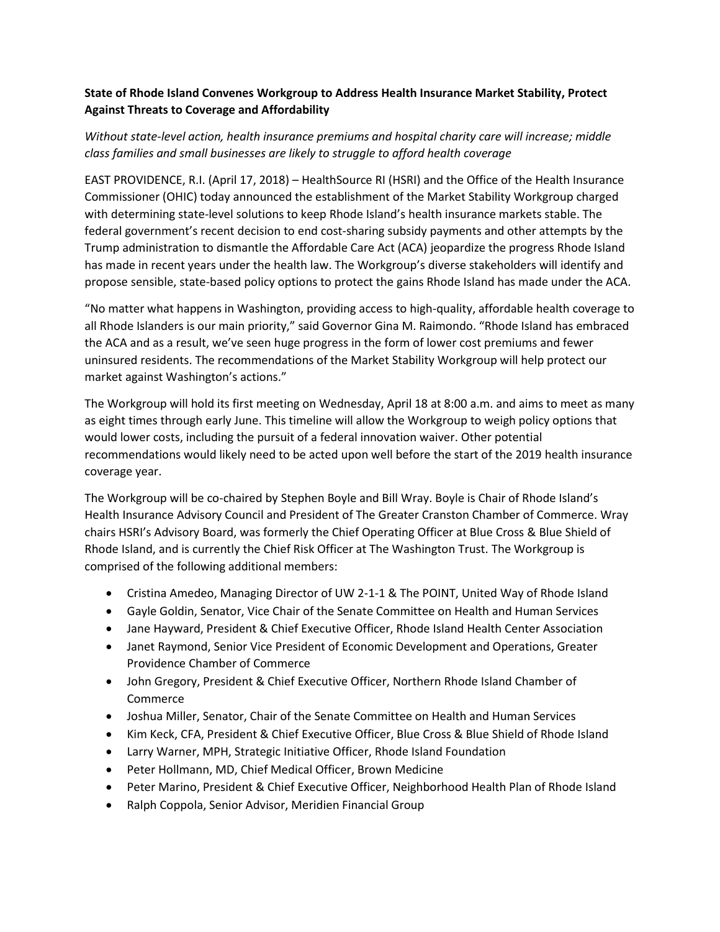## **State of Rhode Island Convenes Workgroup to Address Health Insurance Market Stability, Protect Against Threats to Coverage and Affordability**

## *Without state-level action, health insurance premiums and hospital charity care will increase; middle class families and small businesses are likely to struggle to afford health coverage*

EAST PROVIDENCE, R.I. (April 17, 2018) – HealthSource RI (HSRI) and the Office of the Health Insurance Commissioner (OHIC) today announced the establishment of the Market Stability Workgroup charged with determining state-level solutions to keep Rhode Island's health insurance markets stable. The federal government's recent decision to end cost-sharing subsidy payments and other attempts by the Trump administration to dismantle the Affordable Care Act (ACA) jeopardize the progress Rhode Island has made in recent years under the health law. The Workgroup's diverse stakeholders will identify and propose sensible, state-based policy options to protect the gains Rhode Island has made under the ACA.

"No matter what happens in Washington, providing access to high-quality, affordable health coverage to all Rhode Islanders is our main priority," said Governor Gina M. Raimondo. "Rhode Island has embraced the ACA and as a result, we've seen huge progress in the form of lower cost premiums and fewer uninsured residents. The recommendations of the Market Stability Workgroup will help protect our market against Washington's actions."

The Workgroup will hold its first meeting on Wednesday, April 18 at 8:00 a.m. and aims to meet as many as eight times through early June. This timeline will allow the Workgroup to weigh policy options that would lower costs, including the pursuit of a federal innovation waiver. Other potential recommendations would likely need to be acted upon well before the start of the 2019 health insurance coverage year.

The Workgroup will be co-chaired by Stephen Boyle and Bill Wray. Boyle is Chair of Rhode Island's Health Insurance Advisory Council and President of The Greater Cranston Chamber of Commerce. Wray chairs HSRI's Advisory Board, was formerly the Chief Operating Officer at Blue Cross & Blue Shield of Rhode Island, and is currently the Chief Risk Officer at The Washington Trust. The Workgroup is comprised of the following additional members:

- Cristina Amedeo, Managing Director of UW 2-1-1 & The POINT, United Way of Rhode Island
- Gayle Goldin, Senator, Vice Chair of the Senate Committee on Health and Human Services
- Jane Hayward, President & Chief Executive Officer, Rhode Island Health Center Association
- Janet Raymond, Senior Vice President of Economic Development and Operations, Greater Providence Chamber of Commerce
- John Gregory, President & Chief Executive Officer, Northern Rhode Island Chamber of Commerce
- Joshua Miller, Senator, Chair of the Senate Committee on Health and Human Services
- Kim Keck, CFA, President & Chief Executive Officer, Blue Cross & Blue Shield of Rhode Island
- Larry Warner, MPH, Strategic Initiative Officer, Rhode Island Foundation
- Peter Hollmann, MD, Chief Medical Officer, Brown Medicine
- Peter Marino, President & Chief Executive Officer, Neighborhood Health Plan of Rhode Island
- Ralph Coppola, Senior Advisor, Meridien Financial Group